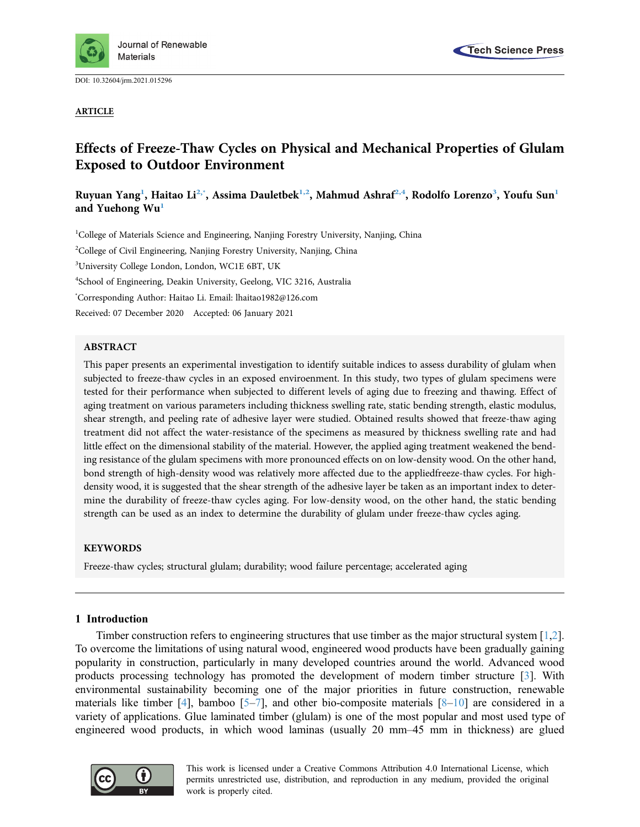

DOI: [10.32604/jrm.2021.015296](http://dx.doi.org/10.32604/jrm.2021.015296)

ARTICLE



# Effects of Freeze-Thaw Cycles on Physical and Mechanical Properties of Glulam Exposed to Outdoor Environment

Ruyuan Yang<sup>[1](#page-0-0)</sup>, Haitao Li<sup>[2,](#page-0-1)×</sup>, Assima Dauletbek<sup>1,[2](#page-0-1)</sup>, Mahmud Ashraf<sup>2,[4](#page-0-3)</sup>, Rodolfo Lorenzo<sup>3</sup>, Youfu Sun<sup>1</sup> and Yuehong W[u1](#page-0-0)

<span id="page-0-4"></span><span id="page-0-3"></span><span id="page-0-1"></span><span id="page-0-0"></span><sup>1</sup>College of Materials Science and Engineering, Nanjing Forestry University, Nanjing, China <sup>2</sup>College of Civil Engineering, Nanjing Forestry University, Nanjing, China <sup>3</sup>University College London, London, WC1E 6BT, UK 4 School of Engineering, Deakin University, Geelong, VIC 3216, Australia \* Corresponding Author: Haitao Li. Email: [lhaitao1982@126.com](mailto:lhaitao1982@126.com) Received: 07 December 2020 Accepted: 06 January 2021

## <span id="page-0-2"></span>ABSTRACT

This paper presents an experimental investigation to identify suitable indices to assess durability of glulam when subjected to freeze-thaw cycles in an exposed enviroenment. In this study, two types of glulam specimens were tested for their performance when subjected to different levels of aging due to freezing and thawing. Effect of aging treatment on various parameters including thickness swelling rate, static bending strength, elastic modulus, shear strength, and peeling rate of adhesive layer were studied. Obtained results showed that freeze-thaw aging treatment did not affect the water-resistance of the specimens as measured by thickness swelling rate and had little effect on the dimensional stability of the material. However, the applied aging treatment weakened the bending resistance of the glulam specimens with more pronounced effects on on low-density wood. On the other hand, bond strength of high-density wood was relatively more affected due to the appliedfreeze-thaw cycles. For highdensity wood, it is suggested that the shear strength of the adhesive layer be taken as an important index to determine the durability of freeze-thaw cycles aging. For low-density wood, on the other hand, the static bending strength can be used as an index to determine the durability of glulam under freeze-thaw cycles aging.

## **KEYWORDS**

Freeze-thaw cycles; structural glulam; durability; wood failure percentage; accelerated aging

## 1 Introduction

Timber construction refers to engineering structures that use timber as the major structural system [\[1](#page-12-0)[,2\]](#page-12-1). To overcome the limitations of using natural wood, engineered wood products have been gradually gaining popularity in construction, particularly in many developed countries around the world. Advanced wood products processing technology has promoted the development of modern timber structure [[3](#page-12-2)]. With environmental sustainability becoming one of the major priorities in future construction, renewable materials like timber [\[4\]](#page-12-3), bamboo [\[5](#page-12-4)–[7\]](#page-12-5), and other bio-composite materials  $[8-10]$  $[8-10]$  $[8-10]$  $[8-10]$  $[8-10]$  are considered in a variety of applications. Glue laminated timber (glulam) is one of the most popular and most used type of engineered wood products, in which wood laminas (usually 20 mm–45 mm in thickness) are glued

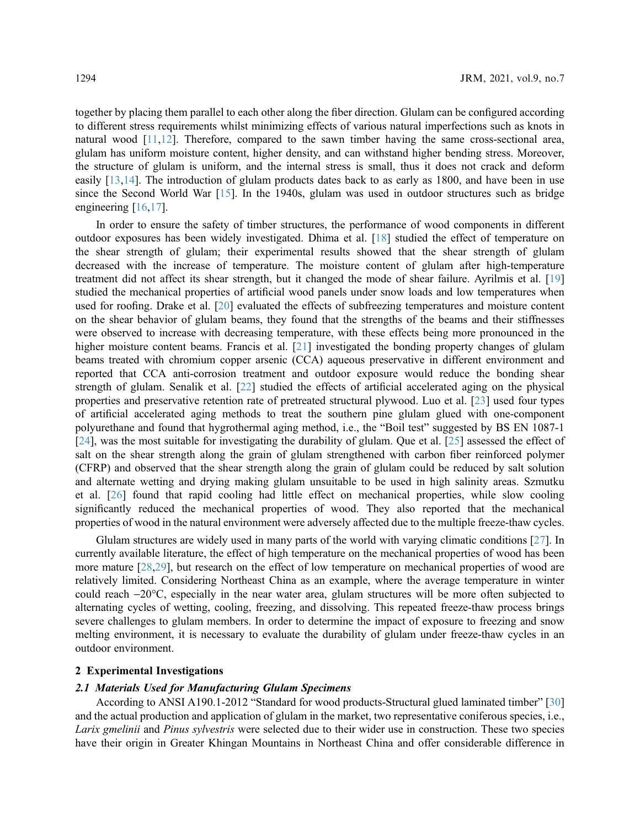together by placing them parallel to each other along the fiber direction. Glulam can be configured according to different stress requirements whilst minimizing effects of various natural imperfections such as knots in natural wood  $[11,12]$  $[11,12]$  $[11,12]$  $[11,12]$ . Therefore, compared to the sawn timber having the same cross-sectional area, glulam has uniform moisture content, higher density, and can withstand higher bending stress. Moreover, the structure of glulam is uniform, and the internal stress is small, thus it does not crack and deform easily  $[13,14]$  $[13,14]$  $[13,14]$ . The introduction of glulam products dates back to as early as 1800, and have been in use since the Second World War [\[15](#page-13-4)]. In the 1940s, glulam was used in outdoor structures such as bridge engineering [\[16,](#page-13-5)[17\]](#page-13-6).

In order to ensure the safety of timber structures, the performance of wood components in different outdoor exposures has been widely investigated. Dhima et al. [\[18](#page-13-7)] studied the effect of temperature on the shear strength of glulam; their experimental results showed that the shear strength of glulam decreased with the increase of temperature. The moisture content of glulam after high-temperature treatment did not affect its shear strength, but it changed the mode of shear failure. Ayrilmis et al. [[19\]](#page-13-8) studied the mechanical properties of artificial wood panels under snow loads and low temperatures when used for roofing. Drake et al. [[20\]](#page-13-9) evaluated the effects of subfreezing temperatures and moisture content on the shear behavior of glulam beams, they found that the strengths of the beams and their stiffnesses were observed to increase with decreasing temperature, with these effects being more pronounced in the higher moisture content beams. Francis et al. [[21](#page-13-10)] investigated the bonding property changes of glulam beams treated with chromium copper arsenic (CCA) aqueous preservative in different environment and reported that CCA anti-corrosion treatment and outdoor exposure would reduce the bonding shear strength of glulam. Senalik et al. [[22\]](#page-13-11) studied the effects of artificial accelerated aging on the physical properties and preservative retention rate of pretreated structural plywood. Luo et al. [\[23](#page-13-12)] used four types of artificial accelerated aging methods to treat the southern pine glulam glued with one-component polyurethane and found that hygrothermal aging method, i.e., the "Boil test" suggested by BS EN 1087-1 [[24](#page-13-13)], was the most suitable for investigating the durability of glulam. Que et al. [\[25](#page-13-14)] assessed the effect of salt on the shear strength along the grain of glulam strengthened with carbon fiber reinforced polymer (CFRP) and observed that the shear strength along the grain of glulam could be reduced by salt solution and alternate wetting and drying making glulam unsuitable to be used in high salinity areas. Szmutku et al. [\[26](#page-13-15)] found that rapid cooling had little effect on mechanical properties, while slow cooling significantly reduced the mechanical properties of wood. They also reported that the mechanical properties of wood in the natural environment were adversely affected due to the multiple freeze-thaw cycles.

Glulam structures are widely used in many parts of the world with varying climatic conditions [[27\]](#page-13-16). In currently available literature, the effect of high temperature on the mechanical properties of wood has been more mature [[28](#page-13-17)[,29](#page-14-0)], but research on the effect of low temperature on mechanical properties of wood are relatively limited. Considering Northeast China as an example, where the average temperature in winter could reach -20°C, especially in the near water area, glulam structures will be more often subjected to alternating cycles of wetting, cooling, freezing, and dissolving. This repeated freeze-thaw process brings severe challenges to glulam members. In order to determine the impact of exposure to freezing and snow melting environment, it is necessary to evaluate the durability of glulam under freeze-thaw cycles in an outdoor environment.

## 2 Experimental Investigations

#### 2.1 Materials Used for Manufacturing Glulam Specimens

According to ANSI A190.1-2012 "Standard for wood products-Structural glued laminated timber" [[30\]](#page-14-1) and the actual production and application of glulam in the market, two representative coniferous species, i.e., Larix gmelinii and Pinus sylvestris were selected due to their wider use in construction. These two species have their origin in Greater Khingan Mountains in Northeast China and offer considerable difference in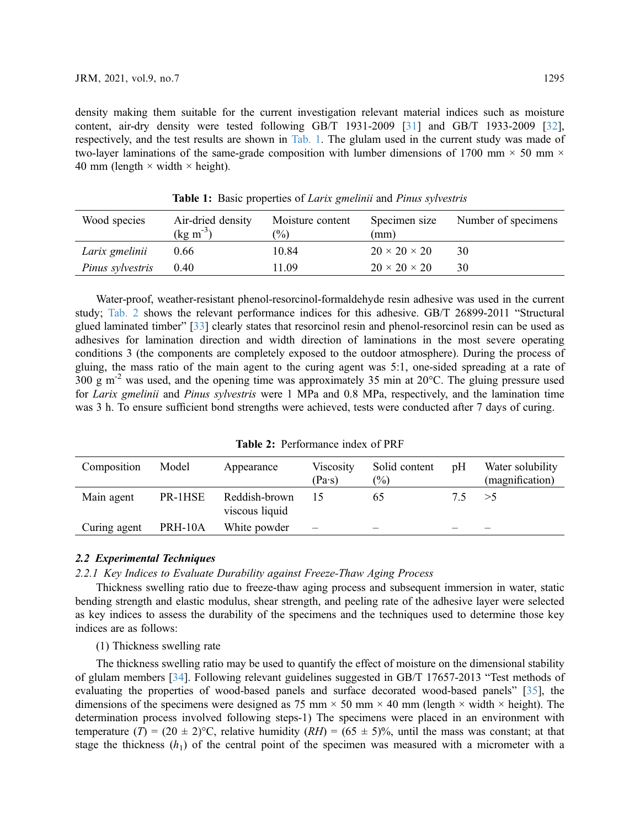density making them suitable for the current investigation relevant material indices such as moisture content, air-dry density were tested following GB/T 1931-2009 [\[31](#page-14-2)] and GB/T 1933-2009 [[32\]](#page-14-3), respectively, and the test results are shown in [Tab. 1](#page-2-0). The glulam used in the current study was made of two-layer laminations of the same-grade composition with lumber dimensions of 1700 mm  $\times$  50 mm  $\times$ 40 mm (length  $\times$  width  $\times$  height).

<span id="page-2-0"></span>

| Wood species     | Air-dried density<br>$(kg \, m^{-3})$ | Moisture content<br>$\frac{1}{2}$ | Specimen size<br>(mm)    | Number of specimens |
|------------------|---------------------------------------|-----------------------------------|--------------------------|---------------------|
| Larix gmelinii   | 0.66                                  | 10.84                             | $20 \times 20 \times 20$ | 30                  |
| Pinus sylvestris | 0.40                                  | 11.09                             | $20 \times 20 \times 20$ | 30                  |

Table 1: Basic properties of *Larix gmelinii* and *Pinus sylvestris* 

Water-proof, weather-resistant phenol-resorcinol-formaldehyde resin adhesive was used in the current study; [Tab. 2](#page-2-1) shows the relevant performance indices for this adhesive. GB/T 26899-2011 "Structural glued laminated timber" [\[33](#page-14-4)] clearly states that resorcinol resin and phenol-resorcinol resin can be used as adhesives for lamination direction and width direction of laminations in the most severe operating conditions 3 (the components are completely exposed to the outdoor atmosphere). During the process of gluing, the mass ratio of the main agent to the curing agent was 5:1, one-sided spreading at a rate of 300 g m-2 was used, and the opening time was approximately 35 min at 20°C. The gluing pressure used for Larix gmelinii and Pinus sylvestris were 1 MPa and 0.8 MPa, respectively, and the lamination time was 3 h. To ensure sufficient bond strengths were achieved, tests were conducted after 7 days of curing.

<span id="page-2-1"></span>

| Composition  | Model   | Appearance                      | Viscosity<br>$(Pa\cdot s)$ | Solid content<br>$\binom{0}{0}$ | pH | Water solubility<br>(magnification) |
|--------------|---------|---------------------------------|----------------------------|---------------------------------|----|-------------------------------------|
| Main agent   | PR-1HSE | Reddish-brown<br>viscous liquid |                            | 65                              |    | >5                                  |
| Curing agent | PRH-10A | White powder                    |                            | $\overline{\phantom{a}}$        |    |                                     |

## 2.2 Experimental Techniques

2.2.1 Key Indices to Evaluate Durability against Freeze-Thaw Aging Process

Thickness swelling ratio due to freeze-thaw aging process and subsequent immersion in water, static bending strength and elastic modulus, shear strength, and peeling rate of the adhesive layer were selected as key indices to assess the durability of the specimens and the techniques used to determine those key indices are as follows:

# (1) Thickness swelling rate

The thickness swelling ratio may be used to quantify the effect of moisture on the dimensional stability of glulam members [\[34](#page-14-5)]. Following relevant guidelines suggested in GB/T 17657-2013 "Test methods of evaluating the properties of wood-based panels and surface decorated wood-based panels" [[35\]](#page-14-6), the dimensions of the specimens were designed as 75 mm  $\times$  50 mm  $\times$  40 mm (length  $\times$  width  $\times$  height). The determination process involved following steps-1) The specimens were placed in an environment with temperature  $(T) = (20 \pm 2)$ °C, relative humidity  $(RH) = (65 \pm 5)$ %, until the mass was constant; at that stage the thickness  $(h_1)$  of the central point of the specimen was measured with a micrometer with a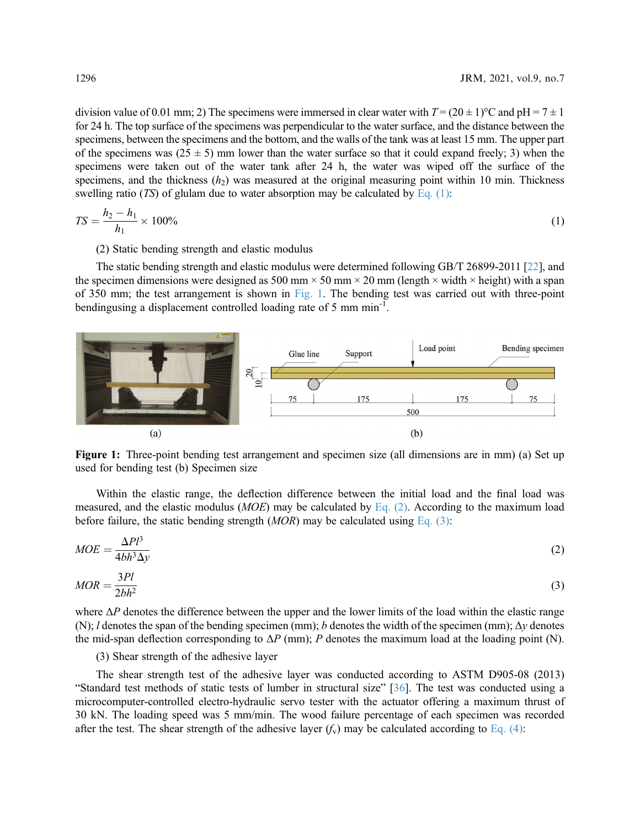division value of 0.01 mm; 2) The specimens were immersed in clear water with  $T = (20 \pm 1)$ °C and pH = 7  $\pm 1$ for 24 h. The top surface of the specimens was perpendicular to the water surface, and the distance between the specimens, between the specimens and the bottom, and the walls of the tank was at least 15 mm. The upper part of the specimens was  $(25 \pm 5)$  mm lower than the water surface so that it could expand freely; 3) when the specimens were taken out of the water tank after 24 h, the water was wiped off the surface of the specimens, and the thickness  $(h<sub>2</sub>)$  was measured at the original measuring point within 10 min. Thickness swelling ratio (TS) of glulam due to water absorption may be calculated by [Eq. \(1\):](#page-3-0)

<span id="page-3-0"></span>
$$
TS = \frac{h_2 - h_1}{h_1} \times 100\% \tag{1}
$$

(2) Static bending strength and elastic modulus

The static bending strength and elastic modulus were determined following GB/T 26899-2011 [[22\]](#page-13-11), and the specimen dimensions were designed as 500 mm  $\times$  50 mm  $\times$  20 mm (length  $\times$  width  $\times$  height) with a span of 350 mm; the test arrangement is shown in [Fig. 1.](#page-3-1) The bending test was carried out with three-point bendingusing a displacement controlled loading rate of 5 mm min<sup>-1</sup>.

<span id="page-3-1"></span>

Figure 1: Three-point bending test arrangement and specimen size (all dimensions are in mm) (a) Set up used for bending test (b) Specimen size

<span id="page-3-2"></span>Within the elastic range, the deflection difference between the initial load and the final load was measured, and the elastic modulus ( $MOE$ ) may be calculated by [Eq. \(2\).](#page-3-2) According to the maximum load before failure, the static bending strength  $(MOR)$  may be calculated using [Eq. \(3\):](#page-3-3)

<span id="page-3-3"></span>
$$
MOE = \frac{\Delta P l^3}{4bh^3 \Delta y} \tag{2}
$$

$$
MOR = \frac{3Pl}{2bh^2} \tag{3}
$$

where  $\Delta P$  denotes the difference between the upper and the lower limits of the load within the elastic range (N); l denotes the span of the bending specimen (mm); b denotes the width of the specimen (mm);  $\Delta y$  denotes the mid-span deflection corresponding to  $\Delta P$  (mm); P denotes the maximum load at the loading point (N).

#### (3) Shear strength of the adhesive layer

The shear strength test of the adhesive layer was conducted according to ASTM D905-08 (2013) "Standard test methods of static tests of lumber in structural size" [[36\]](#page-14-7). The test was conducted using a microcomputer-controlled electro-hydraulic servo tester with the actuator offering a maximum thrust of 30 kN. The loading speed was 5 mm/min. The wood failure percentage of each specimen was recorded after the test. The shear strength of the adhesive layer  $(f_v)$  may be calculated according to [Eq. \(4\)](#page-4-0):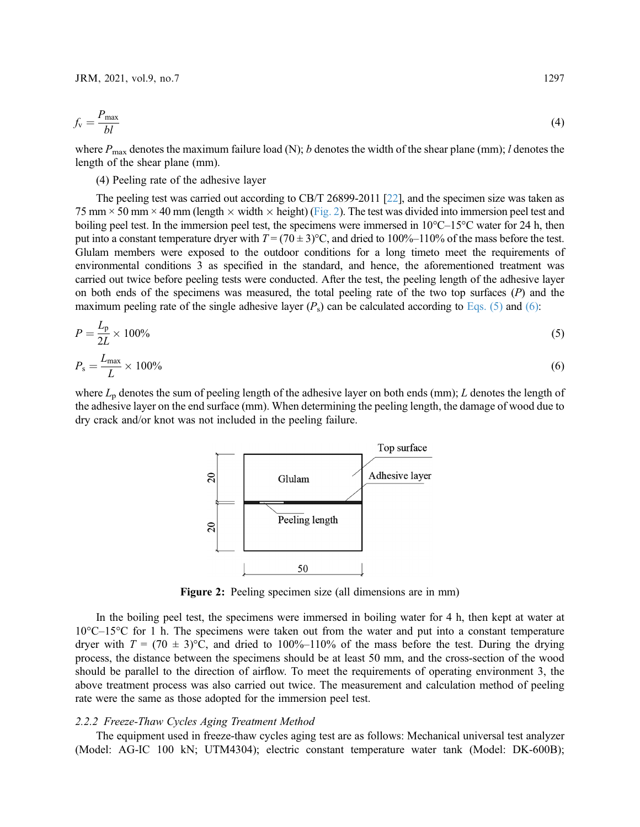<span id="page-4-0"></span>
$$
f_{\rm v} = \frac{P_{\rm max}}{bl} \tag{4}
$$

where  $P_{\text{max}}$  denotes the maximum failure load (N); b denotes the width of the shear plane (mm); l denotes the length of the shear plane (mm).

(4) Peeling rate of the adhesive layer

The peeling test was carried out according to CB/T 26899-2011 [\[22](#page-13-11)], and the specimen size was taken as 75 mm  $\times$  50 mm  $\times$  40 mm (length  $\times$  width  $\times$  height) [\(Fig. 2\)](#page-4-1). The test was divided into immersion peel test and boiling peel test. In the immersion peel test, the specimens were immersed in  $10^{\circ}$ C–15<sup>o</sup>C water for 24 h, then put into a constant temperature dryer with  $T = (70 \pm 3)$ °C, and dried to 100%–110% of the mass before the test. Glulam members were exposed to the outdoor conditions for a long timeto meet the requirements of environmental conditions 3 as specified in the standard, and hence, the aforementioned treatment was carried out twice before peeling tests were conducted. After the test, the peeling length of the adhesive layer on both ends of the specimens was measured, the total peeling rate of the two top surfaces  $(P)$  and the maximum peeling rate of the single adhesive layer  $(P_s)$  can be calculated according to [Eqs. \(5\)](#page-4-2) and [\(6\)](#page-4-3):

<span id="page-4-3"></span><span id="page-4-2"></span>
$$
P = \frac{L_p}{2L} \times 100\% \tag{5}
$$

$$
P_{\rm s} = \frac{L_{\rm max}}{L} \times 100\% \tag{6}
$$

<span id="page-4-1"></span>where  $L_p$  denotes the sum of peeling length of the adhesive layer on both ends (mm); L denotes the length of the adhesive layer on the end surface (mm). When determining the peeling length, the damage of wood due to dry crack and/or knot was not included in the peeling failure.



Figure 2: Peeling specimen size (all dimensions are in mm)

In the boiling peel test, the specimens were immersed in boiling water for 4 h, then kept at water at 10°C–15°C for 1 h. The specimens were taken out from the water and put into a constant temperature dryer with  $T = (70 \pm 3)$ °C, and dried to 100%–110% of the mass before the test. During the drying process, the distance between the specimens should be at least 50 mm, and the cross-section of the wood should be parallel to the direction of airflow. To meet the requirements of operating environment 3, the above treatment process was also carried out twice. The measurement and calculation method of peeling rate were the same as those adopted for the immersion peel test.

#### 2.2.2 Freeze-Thaw Cycles Aging Treatment Method

The equipment used in freeze-thaw cycles aging test are as follows: Mechanical universal test analyzer (Model: AG-IC 100 kN; UTM4304); electric constant temperature water tank (Model: DK-600B);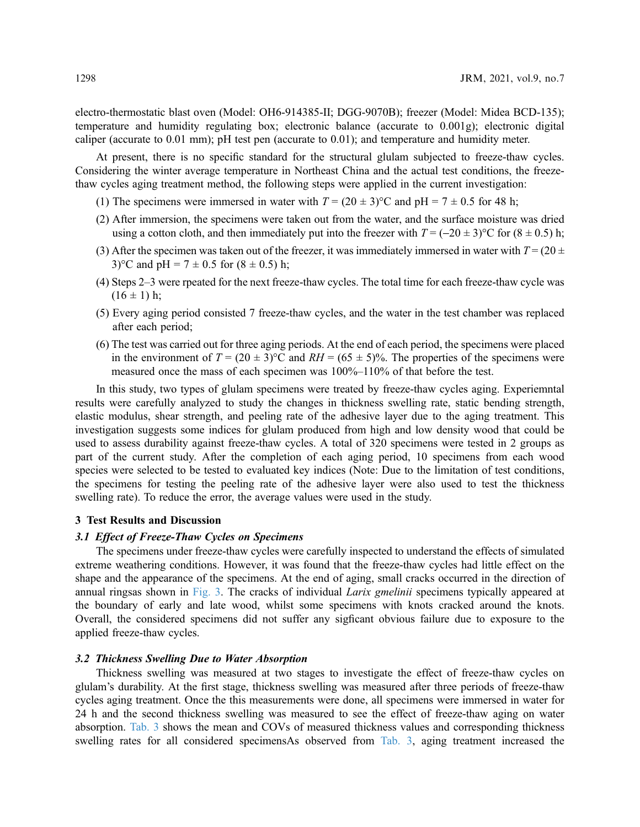electro-thermostatic blast oven (Model: OH6-914385-II; DGG-9070B); freezer (Model: Midea BCD-135); temperature and humidity regulating box; electronic balance (accurate to 0.001g); electronic digital caliper (accurate to 0.01 mm); pH test pen (accurate to 0.01); and temperature and humidity meter.

At present, there is no specific standard for the structural glulam subjected to freeze-thaw cycles. Considering the winter average temperature in Northeast China and the actual test conditions, the freezethaw cycles aging treatment method, the following steps were applied in the current investigation:

- (1) The specimens were immersed in water with  $T = (20 \pm 3)$ °C and pH = 7  $\pm$  0.5 for 48 h;
- (2) After immersion, the specimens were taken out from the water, and the surface moisture was dried using a cotton cloth, and then immediately put into the freezer with  $T = (-20 \pm 3)$ °C for  $(8 \pm 0.5)$  h;
- (3) After the specimen was taken out of the freezer, it was immediately immersed in water with  $T = (20 \pm 1)$ 3)<sup>o</sup>C and pH =  $7 \pm 0.5$  for  $(8 \pm 0.5)$  h;
- (4) Steps 2–3 were rpeated for the next freeze-thaw cycles. The total time for each freeze-thaw cycle was  $(16 \pm 1)$  h;
- (5) Every aging period consisted 7 freeze-thaw cycles, and the water in the test chamber was replaced after each period;
- (6) The test was carried out for three aging periods. At the end of each period, the specimens were placed in the environment of  $T = (20 \pm 3)$ °C and  $RH = (65 \pm 5)$ %. The properties of the specimens were measured once the mass of each specimen was 100%–110% of that before the test.

In this study, two types of glulam specimens were treated by freeze-thaw cycles aging. Experiemntal results were carefully analyzed to study the changes in thickness swelling rate, static bending strength, elastic modulus, shear strength, and peeling rate of the adhesive layer due to the aging treatment. This investigation suggests some indices for glulam produced from high and low density wood that could be used to assess durability against freeze-thaw cycles. A total of 320 specimens were tested in 2 groups as part of the current study. After the completion of each aging period, 10 specimens from each wood species were selected to be tested to evaluated key indices (Note: Due to the limitation of test conditions, the specimens for testing the peeling rate of the adhesive layer were also used to test the thickness swelling rate). To reduce the error, the average values were used in the study.

## 3 Test Results and Discussion

#### 3.1 Effect of Freeze-Thaw Cycles on Specimens

The specimens under freeze-thaw cycles were carefully inspected to understand the effects of simulated extreme weathering conditions. However, it was found that the freeze-thaw cycles had little effect on the shape and the appearance of the specimens. At the end of aging, small cracks occurred in the direction of annual ringsas shown in [Fig. 3](#page-6-0). The cracks of individual Larix gmelinii specimens typically appeared at the boundary of early and late wood, whilst some specimens with knots cracked around the knots. Overall, the considered specimens did not suffer any sigficant obvious failure due to exposure to the applied freeze-thaw cycles.

#### 3.2 Thickness Swelling Due to Water Absorption

Thickness swelling was measured at two stages to investigate the effect of freeze-thaw cycles on glulam's durability. At the first stage, thickness swelling was measured after three periods of freeze-thaw cycles aging treatment. Once the this measurements were done, all specimens were immersed in water for 24 h and the second thickness swelling was measured to see the effect of freeze-thaw aging on water absorption. [Tab. 3](#page-6-1) shows the mean and COVs of measured thickness values and corresponding thickness swelling rates for all considered specimensAs observed from [Tab. 3,](#page-6-1) aging treatment increased the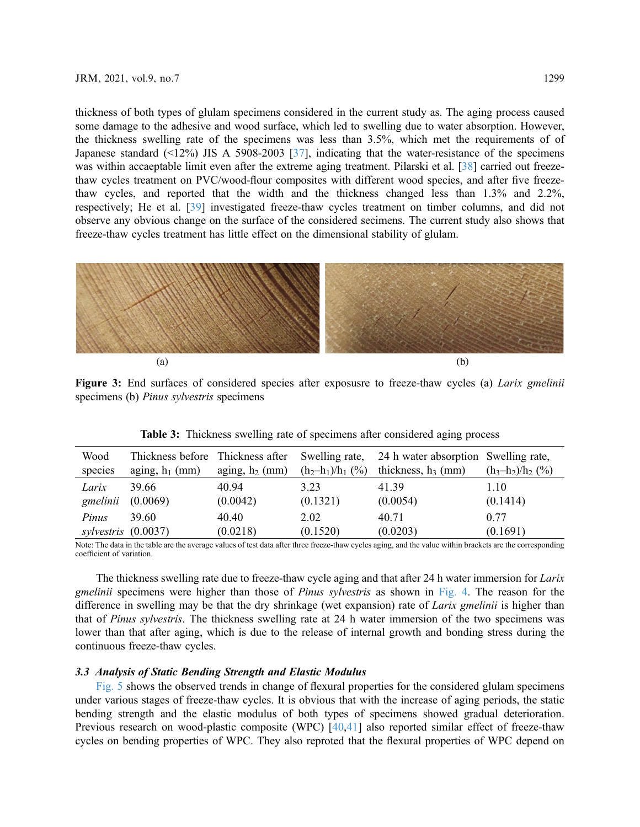thickness of both types of glulam specimens considered in the current study as. The aging process caused some damage to the adhesive and wood surface, which led to swelling due to water absorption. However, the thickness swelling rate of the specimens was less than 3.5%, which met the requirements of of Japanese standard (<12%) JIS A 5908-2003 [[37\]](#page-14-8), indicating that the water-resistance of the specimens was within accaeptable limit even after the extreme aging treatment. Pilarski et al. [[38\]](#page-14-9) carried out freezethaw cycles treatment on PVC/wood-flour composites with different wood species, and after five freezethaw cycles, and reported that the width and the thickness changed less than 1.3% and 2.2%, respectively; He et al. [[39\]](#page-14-10) investigated freeze-thaw cycles treatment on timber columns, and did not observe any obvious change on the surface of the considered secimens. The current study also shows that freeze-thaw cycles treatment has little effect on the dimensional stability of glulam.

<span id="page-6-0"></span>

Figure 3: End surfaces of considered species after exposusre to freeze-thaw cycles (a) Larix gmelinii specimens (b) Pinus sylvestris specimens

| Wood       | Thickness before  | Thickness after   | Swelling rate,      | 24 h water absorption Swelling rate, | $(h_3-h_2)/h_2$ (%) |
|------------|-------------------|-------------------|---------------------|--------------------------------------|---------------------|
| species    | aging, $h_1$ (mm) | aging, $h_2$ (mm) | $(h_2-h_1)/h_1$ (%) | thickness, $h_3$ (mm)                |                     |
| Larix      | 39.66             | 40.94             | 3.23                | 41.39                                | 1.10                |
| gmelinii   | (0.0069)          | (0.0042)          | (0.1321)            | (0.0054)                             | (0.1414)            |
| Pinus      | 39.60             | 40.40             | 2.02                | 40.71                                | 0.77                |
| sylvestris | (0.0037)          | (0.0218)          | (0.1520)            | (0.0203)                             | (0.1691)            |

Table 3: Thickness swelling rate of specimens after considered aging process

<span id="page-6-1"></span>Note: The data in the table are the average values of test data after three freeze-thaw cycles aging, and the value within brackets are the corresponding coefficient of variation.

The thickness swelling rate due to freeze-thaw cycle aging and that after 24 h water immersion for *Larix* gmelinii specimens were higher than those of *Pinus sylvestris* as shown in [Fig. 4](#page-7-0). The reason for the difference in swelling may be that the dry shrinkage (wet expansion) rate of Larix gmelinii is higher than that of Pinus sylvestris. The thickness swelling rate at 24 h water immersion of the two specimens was lower than that after aging, which is due to the release of internal growth and bonding stress during the continuous freeze-thaw cycles.

## 3.3 Analysis of Static Bending Strength and Elastic Modulus

[Fig. 5](#page-7-1) shows the observed trends in change of flexural properties for the considered glulam specimens under various stages of freeze-thaw cycles. It is obvious that with the increase of aging periods, the static bending strength and the elastic modulus of both types of specimens showed gradual deterioration. Previous research on wood-plastic composite (WPC) [\[40](#page-14-11),[41\]](#page-14-12) also reported similar effect of freeze-thaw cycles on bending properties of WPC. They also reproted that the flexural properties of WPC depend on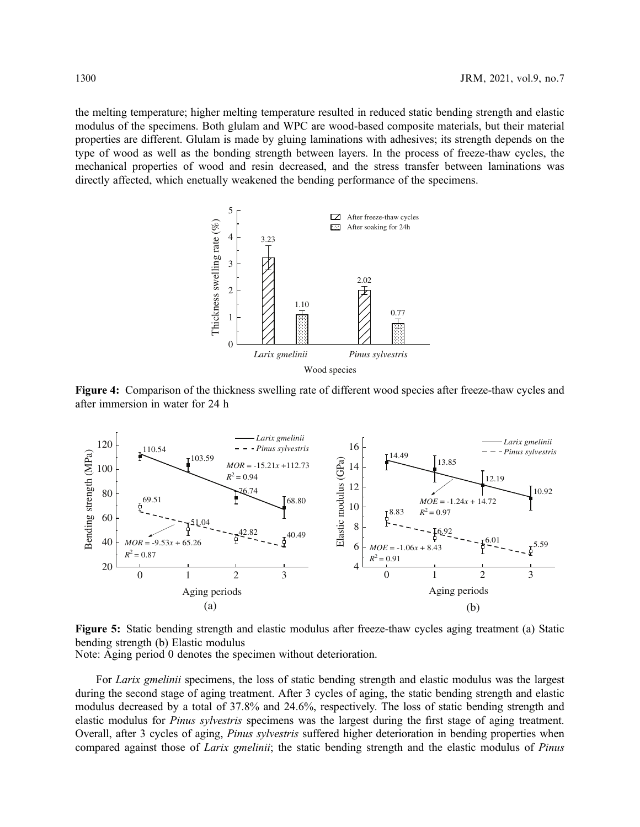<span id="page-7-0"></span>the melting temperature; higher melting temperature resulted in reduced static bending strength and elastic modulus of the specimens. Both glulam and WPC are wood-based composite materials, but their material properties are different. Glulam is made by gluing laminations with adhesives; its strength depends on the type of wood as well as the bonding strength between layers. In the process of freeze-thaw cycles, the mechanical properties of wood and resin decreased, and the stress transfer between laminations was directly affected, which enetually weakened the bending performance of the specimens.



Figure 4: Comparison of the thickness swelling rate of different wood species after freeze-thaw cycles and after immersion in water for 24 h

<span id="page-7-1"></span>

Figure 5: Static bending strength and elastic modulus after freeze-thaw cycles aging treatment (a) Static bending strength (b) Elastic modulus Note: Aging period 0 denotes the specimen without deterioration.

For *Larix gmelinii* specimens, the loss of static bending strength and elastic modulus was the largest during the second stage of aging treatment. After 3 cycles of aging, the static bending strength and elastic modulus decreased by a total of 37.8% and 24.6%, respectively. The loss of static bending strength and elastic modulus for Pinus sylvestris specimens was the largest during the first stage of aging treatment. Overall, after 3 cycles of aging, *Pinus sylvestris* suffered higher deterioration in bending properties when compared against those of *Larix gmelinii*; the static bending strength and the elastic modulus of *Pinus*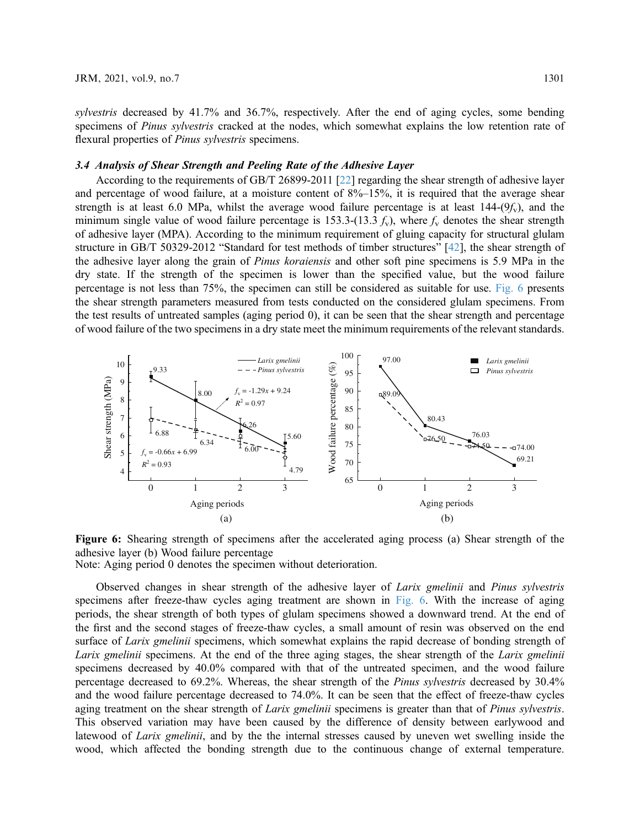sylvestris decreased by 41.7% and 36.7%, respectively. After the end of aging cycles, some bending specimens of Pinus sylvestris cracked at the nodes, which somewhat explains the low retention rate of flexural properties of *Pinus sylvestris* specimens.

## 3.4 Analysis of Shear Strength and Peeling Rate of the Adhesive Layer

According to the requirements of GB/T 26899-2011 [\[22](#page-13-11)] regarding the shear strength of adhesive layer and percentage of wood failure, at a moisture content of 8%–15%, it is required that the average shear strength is at least 6.0 MPa, whilst the average wood failure percentage is at least  $144-(9<sub>x</sub>)$ , and the minimum single value of wood failure percentage is 153.3-(13.3  $f_v$ ), where  $f_v$  denotes the shear strength of adhesive layer (MPA). According to the minimum requirement of gluing capacity for structural glulam structure in GB/T 50329-2012 "Standard for test methods of timber structures" [\[42\]](#page-14-13), the shear strength of the adhesive layer along the grain of Pinus koraiensis and other soft pine specimens is 5.9 MPa in the dry state. If the strength of the specimen is lower than the specified value, but the wood failure percentage is not less than 75%, the specimen can still be considered as suitable for use. [Fig. 6](#page-8-0) presents the shear strength parameters measured from tests conducted on the considered glulam specimens. From the test results of untreated samples (aging period 0), it can be seen that the shear strength and percentage of wood failure of the two specimens in a dry state meet the minimum requirements of the relevant standards.

<span id="page-8-0"></span>

Figure 6: Shearing strength of specimens after the accelerated aging process (a) Shear strength of the adhesive layer (b) Wood failure percentage Note: Aging period 0 denotes the specimen without deterioration.

Observed changes in shear strength of the adhesive layer of Larix gmelinii and Pinus sylvestris specimens after freeze-thaw cycles aging treatment are shown in [Fig. 6.](#page-8-0) With the increase of aging periods, the shear strength of both types of glulam specimens showed a downward trend. At the end of the first and the second stages of freeze-thaw cycles, a small amount of resin was observed on the end surface of Larix gmelinii specimens, which somewhat explains the rapid decrease of bonding strength of Larix gmelinii specimens. At the end of the three aging stages, the shear strength of the Larix gmelinii specimens decreased by 40.0% compared with that of the untreated specimen, and the wood failure percentage decreased to 69.2%. Whereas, the shear strength of the Pinus sylvestris decreased by 30.4% and the wood failure percentage decreased to 74.0%. It can be seen that the effect of freeze-thaw cycles aging treatment on the shear strength of Larix gmelinii specimens is greater than that of Pinus sylvestris. This observed variation may have been caused by the difference of density between earlywood and latewood of *Larix gmelinii*, and by the the internal stresses caused by uneven wet swelling inside the wood, which affected the bonding strength due to the continuous change of external temperature.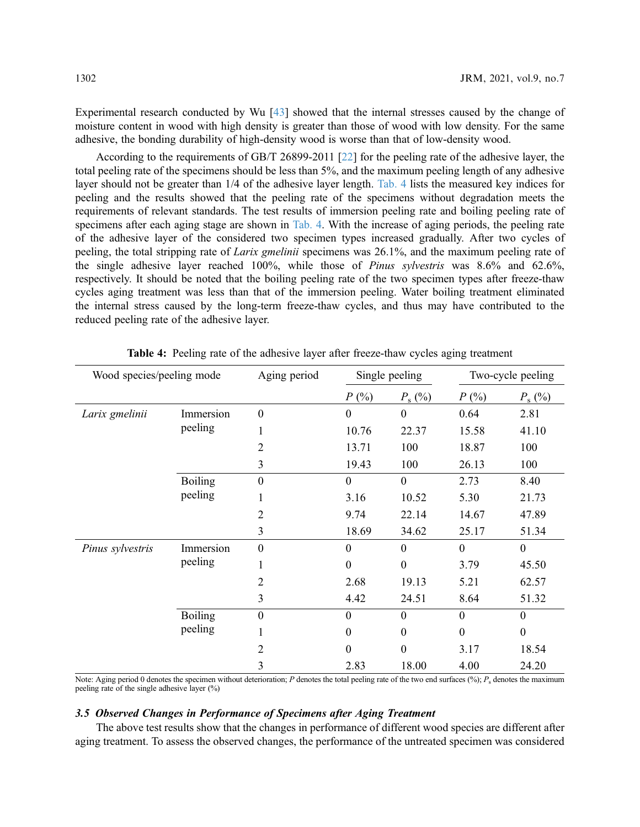Experimental research conducted by Wu [[43\]](#page-14-14) showed that the internal stresses caused by the change of moisture content in wood with high density is greater than those of wood with low density. For the same adhesive, the bonding durability of high-density wood is worse than that of low-density wood.

According to the requirements of GB/T 26899-2011 [\[22\]](#page-13-11) for the peeling rate of the adhesive layer, the total peeling rate of the specimens should be less than 5%, and the maximum peeling length of any adhesive layer should not be greater than 1/4 of the adhesive layer length. [Tab. 4](#page-9-0) lists the measured key indices for peeling and the results showed that the peeling rate of the specimens without degradation meets the requirements of relevant standards. The test results of immersion peeling rate and boiling peeling rate of specimens after each aging stage are shown in [Tab. 4.](#page-9-0) With the increase of aging periods, the peeling rate of the adhesive layer of the considered two specimen types increased gradually. After two cycles of peeling, the total stripping rate of Larix gmelinii specimens was 26.1%, and the maximum peeling rate of the single adhesive layer reached 100%, while those of Pinus sylvestris was 8.6% and 62.6%, respectively. It should be noted that the boiling peeling rate of the two specimen types after freeze-thaw cycles aging treatment was less than that of the immersion peeling. Water boiling treatment eliminated the internal stress caused by the long-term freeze-thaw cycles, and thus may have contributed to the reduced peeling rate of the adhesive layer.

<span id="page-9-0"></span>

| Wood species/peeling mode |                           | Aging period     | Single peeling   |                  | Two-cycle peeling |                  |
|---------------------------|---------------------------|------------------|------------------|------------------|-------------------|------------------|
|                           |                           |                  | $P($ %)          | $P_{\rm s}$ (%)  | $P(\%)$           | $P_{\rm s}$ (%)  |
| Larix gmelinii            | Immersion<br>peeling      | $\boldsymbol{0}$ | $\boldsymbol{0}$ | $\boldsymbol{0}$ | 0.64              | 2.81             |
|                           |                           | 1                | 10.76            | 22.37            | 15.58             | 41.10            |
|                           |                           | $\overline{2}$   | 13.71            | 100              | 18.87             | 100              |
|                           |                           | 3                | 19.43            | 100              | 26.13             | 100              |
|                           | <b>Boiling</b><br>peeling | $\boldsymbol{0}$ | $\overline{0}$   | $\theta$         | 2.73              | 8.40             |
|                           |                           | 1                | 3.16             | 10.52            | 5.30              | 21.73            |
|                           |                           | $\overline{2}$   | 9.74             | 22.14            | 14.67             | 47.89            |
|                           |                           | 3                | 18.69            | 34.62            | 25.17             | 51.34            |
| Pinus sylvestris          | Immersion<br>peeling      | $\overline{0}$   | $\overline{0}$   | $\theta$         | $\Omega$          | $\mathbf{0}$     |
|                           |                           |                  | $\Omega$         | $\theta$         | 3.79              | 45.50            |
|                           |                           | 2                | 2.68             | 19.13            | 5.21              | 62.57            |
|                           |                           | 3                | 4.42             | 24.51            | 8.64              | 51.32            |
|                           | <b>Boiling</b><br>peeling | $\overline{0}$   | $\Omega$         | $\theta$         | $\Omega$          | $\boldsymbol{0}$ |
|                           |                           | 1                | $\Omega$         | $\boldsymbol{0}$ | $\Omega$          | $\boldsymbol{0}$ |
|                           |                           | $\overline{2}$   | 0                | $\overline{0}$   | 3.17              | 18.54            |
|                           |                           | 3                | 2.83             | 18.00            | 4.00              | 24.20            |

Table 4: Peeling rate of the adhesive layer after freeze-thaw cycles aging treatment

Note: Aging period 0 denotes the specimen without deterioration; P denotes the total peeling rate of the two end surfaces (%);  $P_s$  denotes the maximum peeling rate of the single adhesive layer (%)

#### 3.5 Observed Changes in Performance of Specimens after Aging Treatment

The above test results show that the changes in performance of different wood species are different after aging treatment. To assess the observed changes, the performance of the untreated specimen was considered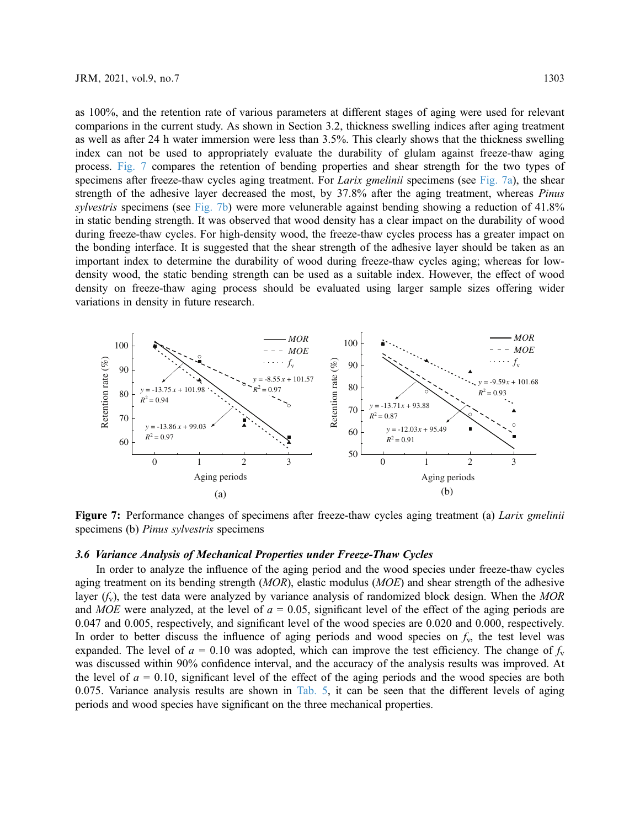as 100%, and the retention rate of various parameters at different stages of aging were used for relevant comparions in the current study. As shown in Section 3.2, thickness swelling indices after aging treatment as well as after 24 h water immersion were less than 3.5%. This clearly shows that the thickness swelling index can not be used to appropriately evaluate the durability of glulam against freeze-thaw aging process. [Fig. 7](#page-10-0) compares the retention of bending properties and shear strength for the two types of specimens after freeze-thaw cycles aging treatment. For *Larix gmelinii* specimens (see [Fig. 7a](#page-10-0)), the shear strength of the adhesive layer decreased the most, by 37.8% after the aging treatment, whereas *Pinus* sylvestris specimens (see [Fig. 7b](#page-10-0)) were more velunerable against bending showing a reduction of 41.8% in static bending strength. It was observed that wood density has a clear impact on the durability of wood during freeze-thaw cycles. For high-density wood, the freeze-thaw cycles process has a greater impact on the bonding interface. It is suggested that the shear strength of the adhesive layer should be taken as an important index to determine the durability of wood during freeze-thaw cycles aging; whereas for lowdensity wood, the static bending strength can be used as a suitable index. However, the effect of wood density on freeze-thaw aging process should be evaluated using larger sample sizes offering wider variations in density in future research.

<span id="page-10-0"></span>

Figure 7: Performance changes of specimens after freeze-thaw cycles aging treatment (a) *Larix gmelinii* specimens (b) Pinus sylvestris specimens

#### 3.6 Variance Analysis of Mechanical Properties under Freeze-Thaw Cycles

In order to analyze the influence of the aging period and the wood species under freeze-thaw cycles aging treatment on its bending strength  $(MOR)$ , elastic modulus  $(MOE)$  and shear strength of the adhesive layer  $(f_v)$ , the test data were analyzed by variance analysis of randomized block design. When the MOR and MOE were analyzed, at the level of  $a = 0.05$ , significant level of the effect of the aging periods are 0.047 and 0.005, respectively, and significant level of the wood species are 0.020 and 0.000, respectively. In order to better discuss the influence of aging periods and wood species on  $f<sub>v</sub>$ , the test level was expanded. The level of  $a = 0.10$  was adopted, which can improve the test efficiency. The change of  $f_v$ was discussed within 90% confidence interval, and the accuracy of the analysis results was improved. At the level of  $a = 0.10$ , significant level of the effect of the aging periods and the wood species are both 0.075. Variance analysis results are shown in [Tab. 5,](#page-11-0) it can be seen that the different levels of aging periods and wood species have significant on the three mechanical properties.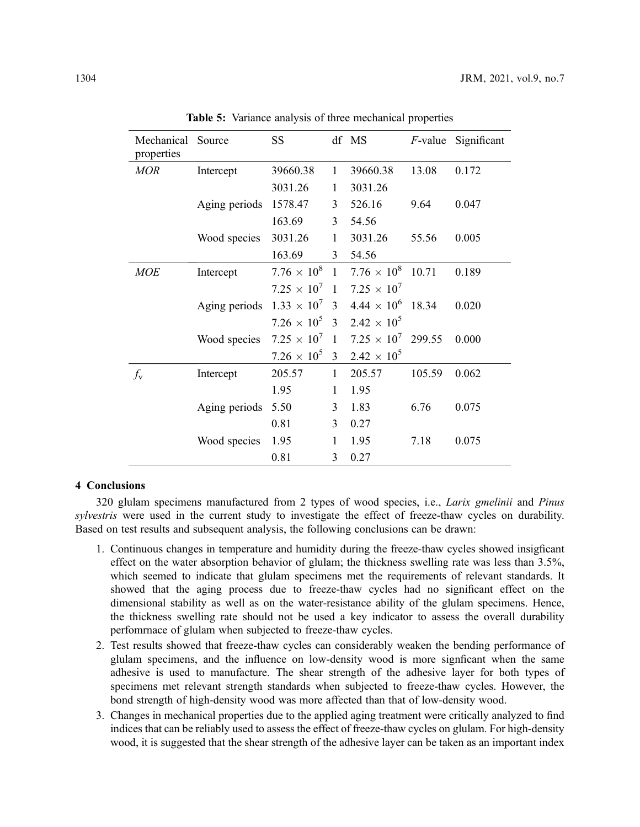<span id="page-11-0"></span>

| Mechanical Source<br>properties |               | <b>SS</b>            |                | df MS                | <i>F</i> -value | Significant |
|---------------------------------|---------------|----------------------|----------------|----------------------|-----------------|-------------|
| <b>MOR</b>                      | Intercept     | 39660.38             | $\mathbf{1}$   | 39660.38             | 13.08           | 0.172       |
|                                 |               | 3031.26              | 1              | 3031.26              |                 |             |
|                                 | Aging periods | 1578.47              | 3              | 526.16               | 9.64            | 0.047       |
|                                 |               | 163.69               | 3              | 54.56                |                 |             |
|                                 | Wood species  | 3031.26              | 1              | 3031.26              | 55.56           | 0.005       |
|                                 |               | 163.69               | 3              | 54.56                |                 |             |
| <b>MOE</b>                      | Intercept     | $7.76 \times 10^8$   | $\mathbf{1}$   | $7.76 \times 10^8$   | 10.71           | 0.189       |
|                                 |               | $7.25 \times 10^{7}$ | $\overline{1}$ | $7.25 \times 10^{7}$ |                 |             |
|                                 | Aging periods | $1.33 \times 10^{7}$ | 3              | $4.44 \times 10^{6}$ | 18.34           | 0.020       |
|                                 |               | $7.26 \times 10^{5}$ | $\mathbf{3}$   | $2.42 \times 10^{5}$ |                 |             |
|                                 | Wood species  | $7.25 \times 10^{7}$ | $\mathbf{1}$   | $7.25 \times 10^{7}$ | 299.55          | 0.000       |
|                                 |               | $7.26 \times 10^{5}$ | 3              | $2.42 \times 10^{5}$ |                 |             |
| $f_{\rm v}$                     | Intercept     | 205.57               | 1              | 205.57               | 105.59          | 0.062       |
|                                 |               | 1.95                 | 1              | 1.95                 |                 |             |
|                                 | Aging periods | 5.50                 | 3              | 1.83                 | 6.76            | 0.075       |
|                                 |               | 0.81                 | 3              | 0.27                 |                 |             |
|                                 | Wood species  | 1.95                 | $\mathbf{1}$   | 1.95                 | 7.18            | 0.075       |
|                                 |               | 0.81                 | 3              | 0.27                 |                 |             |

Table 5: Variance analysis of three mechanical properties

#### 4 Conclusions

320 glulam specimens manufactured from 2 types of wood species, i.e., *Larix gmelinii* and *Pinus* sylvestris were used in the current study to investigate the effect of freeze-thaw cycles on durability. Based on test results and subsequent analysis, the following conclusions can be drawn:

- 1. Continuous changes in temperature and humidity during the freeze-thaw cycles showed insigficant effect on the water absorption behavior of glulam; the thickness swelling rate was less than 3.5%, which seemed to indicate that glulam specimens met the requirements of relevant standards. It showed that the aging process due to freeze-thaw cycles had no significant effect on the dimensional stability as well as on the water-resistance ability of the glulam specimens. Hence, the thickness swelling rate should not be used a key indicator to assess the overall durability perfomrnace of glulam when subjected to freeze-thaw cycles.
- 2. Test results showed that freeze-thaw cycles can considerably weaken the bending performance of glulam specimens, and the influence on low-density wood is more signficant when the same adhesive is used to manufacture. The shear strength of the adhesive layer for both types of specimens met relevant strength standards when subjected to freeze-thaw cycles. However, the bond strength of high-density wood was more affected than that of low-density wood.
- 3. Changes in mechanical properties due to the applied aging treatment were critically analyzed to find indices that can be reliably used to assess the effect of freeze-thaw cycles on glulam. For high-density wood, it is suggested that the shear strength of the adhesive layer can be taken as an important index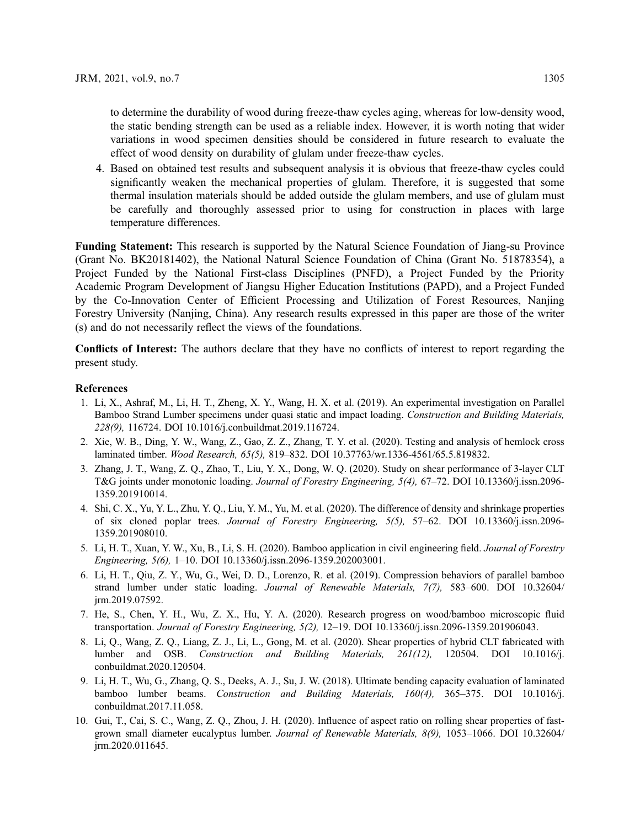to determine the durability of wood during freeze-thaw cycles aging, whereas for low-density wood, the static bending strength can be used as a reliable index. However, it is worth noting that wider variations in wood specimen densities should be considered in future research to evaluate the effect of wood density on durability of glulam under freeze-thaw cycles.

4. Based on obtained test results and subsequent analysis it is obvious that freeze-thaw cycles could significantly weaken the mechanical properties of glulam. Therefore, it is suggested that some thermal insulation materials should be added outside the glulam members, and use of glulam must be carefully and thoroughly assessed prior to using for construction in places with large temperature differences.

Funding Statement: This research is supported by the Natural Science Foundation of Jiang-su Province (Grant No. BK20181402), the National Natural Science Foundation of China (Grant No. 51878354), a Project Funded by the National First-class Disciplines (PNFD), a Project Funded by the Priority Academic Program Development of Jiangsu Higher Education Institutions (PAPD), and a Project Funded by the Co-Innovation Center of Efficient Processing and Utilization of Forest Resources, Nanjing Forestry University (Nanjing, China). Any research results expressed in this paper are those of the writer (s) and do not necessarily reflect the views of the foundations.

Conflicts of Interest: The authors declare that they have no conflicts of interest to report regarding the present study.

#### References

- <span id="page-12-0"></span>1. Li, X., Ashraf, M., Li, H. T., Zheng, X. Y., Wang, H. X. et al. (2019). An experimental investigation on Parallel Bamboo Strand Lumber specimens under quasi static and impact loading. Construction and Building Materials, 228(9), 116724. DOI [10.1016/j.conbuildmat.2019.116724](http://dx.doi.org/10.1016/j.conbuildmat.2019.116724).
- <span id="page-12-1"></span>2. Xie, W. B., Ding, Y. W., Wang, Z., Gao, Z. Z., Zhang, T. Y. et al. (2020). Testing and analysis of hemlock cross laminated timber. Wood Research, 65(5), 819–832. DOI [10.37763/wr.1336-4561/65.5.819832](http://dx.doi.org/10.37763/wr.1336-4561/65.5.819832).
- <span id="page-12-2"></span>3. Zhang, J. T., Wang, Z. Q., Zhao, T., Liu, Y. X., Dong, W. Q. (2020). Study on shear performance of 3-layer CLT T&G joints under monotonic loading. Journal of Forestry Engineering, 5(4), 67–72. DOI [10.13360/j.issn.2096-](http://dx.doi.org/10.13360/j.issn.2096-1359.201910014) [1359.201910014.](http://dx.doi.org/10.13360/j.issn.2096-1359.201910014)
- <span id="page-12-3"></span>4. Shi, C. X., Yu, Y. L., Zhu, Y. Q., Liu, Y. M., Yu, M. et al. (2020). The difference of density and shrinkage properties of six cloned poplar trees. Journal of Forestry Engineering, 5(5), 57–62. DOI [10.13360/j.issn.2096-](http://dx.doi.org/10.13360/j.issn.2096-1359.201908010) [1359.201908010.](http://dx.doi.org/10.13360/j.issn.2096-1359.201908010)
- <span id="page-12-4"></span>5. Li, H. T., Xuan, Y. W., Xu, B., Li, S. H. (2020). Bamboo application in civil engineering field. Journal of Forestry Engineering, 5(6), 1–10. DOI [10.13360/j.issn.2096-1359.202003001.](http://dx.doi.org/10.13360/j.issn.2096-1359.202003001)
- 6. Li, H. T., Qiu, Z. Y., Wu, G., Wei, D. D., Lorenzo, R. et al. (2019). Compression behaviors of parallel bamboo strand lumber under static loading. Journal of Renewable Materials, 7(7), 583–600. DOI [10.32604/](http://dx.doi.org/10.32604/jrm.2019.07592) [jrm.2019.07592.](http://dx.doi.org/10.32604/jrm.2019.07592)
- <span id="page-12-5"></span>7. He, S., Chen, Y. H., Wu, Z. X., Hu, Y. A. (2020). Research progress on wood/bamboo microscopic fluid transportation. Journal of Forestry Engineering, 5(2), 12–19. DOI [10.13360/j.issn.2096-1359.201906043](http://dx.doi.org/10.13360/j.issn.2096-1359.201906043).
- <span id="page-12-6"></span>8. Li, Q., Wang, Z. Q., Liang, Z. J., Li, L., Gong, M. et al. (2020). Shear properties of hybrid CLT fabricated with lumber and OSB. Construction and Building Materials, 261(12), 120504. DOI [10.1016/j.](http://dx.doi.org/10.1016/j.conbuildmat.2020.120504) [conbuildmat.2020.120504.](http://dx.doi.org/10.1016/j.conbuildmat.2020.120504)
- 9. Li, H. T., Wu, G., Zhang, Q. S., Deeks, A. J., Su, J. W. (2018). Ultimate bending capacity evaluation of laminated bamboo lumber beams. Construction and Building Materials, 160(4), 365–375. DOI [10.1016/j.](http://dx.doi.org/10.1016/j.conbuildmat.2017.11.058) [conbuildmat.2017.11.058.](http://dx.doi.org/10.1016/j.conbuildmat.2017.11.058)
- <span id="page-12-7"></span>10. Gui, T., Cai, S. C., Wang, Z. Q., Zhou, J. H. (2020). Influence of aspect ratio on rolling shear properties of fastgrown small diameter eucalyptus lumber. Journal of Renewable Materials, 8(9), 1053–1066. DOI [10.32604/](http://dx.doi.org/10.32604/jrm.2020.011645) [jrm.2020.011645.](http://dx.doi.org/10.32604/jrm.2020.011645)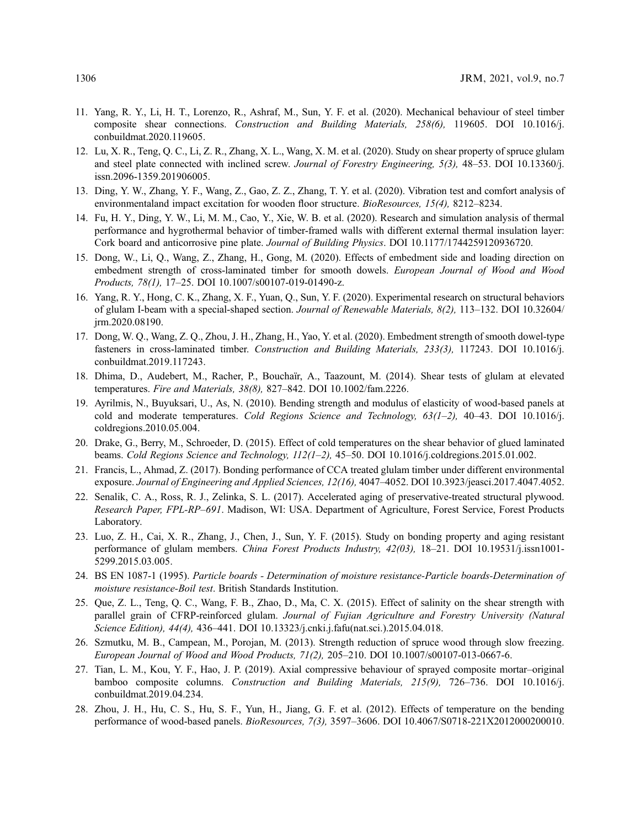- <span id="page-13-0"></span>11. Yang, R. Y., Li, H. T., Lorenzo, R., Ashraf, M., Sun, Y. F. et al. (2020). Mechanical behaviour of steel timber composite shear connections. Construction and Building Materials, 258(6), 119605. DOI [10.1016/j.](http://dx.doi.org/10.1016/j.conbuildmat.2020.119605) [conbuildmat.2020.119605](http://dx.doi.org/10.1016/j.conbuildmat.2020.119605).
- <span id="page-13-1"></span>12. Lu, X. R., Teng, Q. C., Li, Z. R., Zhang, X. L., Wang, X. M. et al. (2020). Study on shear property of spruce glulam and steel plate connected with inclined screw. Journal of Forestry Engineering, 5(3), 48–53. DOI [10.13360/j.](http://dx.doi.org/10.13360/j.issn.2096-1359.201906005) [issn.2096-1359.201906005.](http://dx.doi.org/10.13360/j.issn.2096-1359.201906005)
- <span id="page-13-2"></span>13. Ding, Y. W., Zhang, Y. F., Wang, Z., Gao, Z. Z., Zhang, T. Y. et al. (2020). Vibration test and comfort analysis of environmentaland impact excitation for wooden floor structure. BioResources, 15(4), 8212–8234.
- <span id="page-13-3"></span>14. Fu, H. Y., Ding, Y. W., Li, M. M., Cao, Y., Xie, W. B. et al. (2020). Research and simulation analysis of thermal performance and hygrothermal behavior of timber-framed walls with different external thermal insulation layer: Cork board and anticorrosive pine plate. Journal of Building Physics. DOI [10.1177/1744259120936720.](http://dx.doi.org/10.1177/1744259120936720)
- <span id="page-13-4"></span>15. Dong, W., Li, Q., Wang, Z., Zhang, H., Gong, M. (2020). Effects of embedment side and loading direction on embedment strength of cross-laminated timber for smooth dowels. European Journal of Wood and Wood Products, 78(1), 17–25. DOI [10.1007/s00107-019-01490-z](http://dx.doi.org/10.1007/s00107-019-01490-z).
- <span id="page-13-5"></span>16. Yang, R. Y., Hong, C. K., Zhang, X. F., Yuan, Q., Sun, Y. F. (2020). Experimental research on structural behaviors of glulam I-beam with a special-shaped section. Journal of Renewable Materials, 8(2), 113–132. DOI [10.32604/](http://dx.doi.org/10.32604/jrm.2020.08190) [jrm.2020.08190.](http://dx.doi.org/10.32604/jrm.2020.08190)
- <span id="page-13-6"></span>17. Dong, W. Q., Wang, Z. Q., Zhou, J. H., Zhang, H., Yao, Y. et al. (2020). Embedment strength of smooth dowel-type fasteners in cross-laminated timber. Construction and Building Materials, 233(3), 117243. DOI [10.1016/j.](http://dx.doi.org/10.1016/j.conbuildmat.2019.117243) [conbuildmat.2019.117243.](http://dx.doi.org/10.1016/j.conbuildmat.2019.117243)
- <span id="page-13-7"></span>18. Dhima, D., Audebert, M., Racher, P., Bouchaïr, A., Taazount, M. (2014). Shear tests of glulam at elevated temperatures. Fire and Materials, 38(8), 827–842. DOI [10.1002/fam.2226.](http://dx.doi.org/10.1002/fam.2226)
- <span id="page-13-8"></span>19. Ayrilmis, N., Buyuksari, U., As, N. (2010). Bending strength and modulus of elasticity of wood-based panels at cold and moderate temperatures. Cold Regions Science and Technology, 63(1–2), 40–43. DOI [10.1016/j.](http://dx.doi.org/10.1016/j.coldregions.2010.05.004) [coldregions.2010.05.004.](http://dx.doi.org/10.1016/j.coldregions.2010.05.004)
- <span id="page-13-9"></span>20. Drake, G., Berry, M., Schroeder, D. (2015). Effect of cold temperatures on the shear behavior of glued laminated beams. Cold Regions Science and Technology, 112(1-2), 45-50. DOI [10.1016/j.coldregions.2015.01.002.](http://dx.doi.org/10.1016/j.coldregions.2015.01.002)
- <span id="page-13-10"></span>21. Francis, L., Ahmad, Z. (2017). Bonding performance of CCA treated glulam timber under different environmental exposure. Journal of Engineering and Applied Sciences, 12(16), 4047–4052. DOI [10.3923/jeasci.2017.4047.4052.](http://dx.doi.org/10.3923/jeasci.2017.4047.4052)
- <span id="page-13-11"></span>22. Senalik, C. A., Ross, R. J., Zelinka, S. L. (2017). Accelerated aging of preservative-treated structural plywood. Research Paper, FPL-RP-691. Madison, WI: USA. Department of Agriculture, Forest Service, Forest Products Laboratory.
- <span id="page-13-12"></span>23. Luo, Z. H., Cai, X. R., Zhang, J., Chen, J., Sun, Y. F. (2015). Study on bonding property and aging resistant performance of glulam members. China Forest Products Industry, 42(03), 18–21. DOI [10.19531/j.issn1001-](http://dx.doi.org/10.19531/j.issn1001-5299.2015.03.005) [5299.2015.03.005.](http://dx.doi.org/10.19531/j.issn1001-5299.2015.03.005)
- <span id="page-13-13"></span>24. BS EN 1087-1 (1995). Particle boards - Determination of moisture resistance-Particle boards-Determination of moisture resistance-Boil test. British Standards Institution.
- <span id="page-13-14"></span>25. Que, Z. L., Teng, Q. C., Wang, F. B., Zhao, D., Ma, C. X. (2015). Effect of salinity on the shear strength with parallel grain of CFRP-reinforced glulam. Journal of Fujian Agriculture and Forestry University (Natural Science Edition), 44(4), 436–441. DOI [10.13323/j.cnki.j.fafu\(nat.sci.\).2015.04.018.](http://dx.doi.org/10.13323/j.cnki.j.fafu(nat.sci.).2015.04.018)
- <span id="page-13-15"></span>26. Szmutku, M. B., Campean, M., Porojan, M. (2013). Strength reduction of spruce wood through slow freezing. European Journal of Wood and Wood Products, 71(2), 205–210. DOI [10.1007/s00107-013-0667-6.](http://dx.doi.org/10.1007/s00107-013-0667-6)
- <span id="page-13-16"></span>27. Tian, L. M., Kou, Y. F., Hao, J. P. (2019). Axial compressive behaviour of sprayed composite mortar–original bamboo composite columns. Construction and Building Materials, 215(9), 726–736. DOI [10.1016/j.](http://dx.doi.org/10.1016/j.conbuildmat.2019.04.234) [conbuildmat.2019.04.234](http://dx.doi.org/10.1016/j.conbuildmat.2019.04.234).
- <span id="page-13-17"></span>28. Zhou, J. H., Hu, C. S., Hu, S. F., Yun, H., Jiang, G. F. et al. (2012). Effects of temperature on the bending performance of wood-based panels. BioResources, 7(3), 3597–3606. DOI [10.4067/S0718-221X2012000200010.](http://dx.doi.org/10.4067/S0718-221X2012000200010)